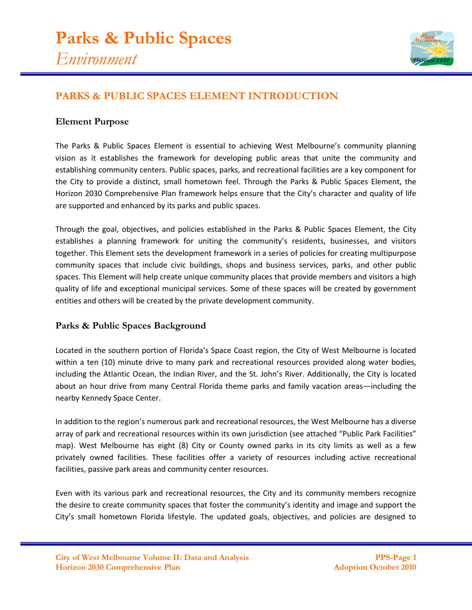

## **PARKS & PUBLIC SPACES ELEMENT INTRODUCTION**

## **Element Purpose**

The Parks & Public Spaces Element is essential to achieving West Melbourne's community planning vision as it establishes the framework for developing public areas that unite the community and establishing community centers. Public spaces, parks, and recreational facilities are a key component for the City to provide a distinct, small hometown feel. Through the Parks & Public Spaces Element, the Horizon 2030 Comprehensive Plan framework helps ensure that the City's character and quality of life are supported and enhanced by its parks and public spaces.

Through the goal, objectives, and policies established in the Parks & Public Spaces Element, the City establishes a planning framework for uniting the community's residents, businesses, and visitors together. This Element sets the development framework in a series of policies for creating multipurpose community spaces that include civic buildings, shops and business services, parks, and other public spaces. This Element will help create unique community places that provide members and visitors a high quality of life and exceptional municipal services. Some of these spaces will be created by government entities and others will be created by the private development community.

## **Parks & Public Spaces Background**

Located in the southern portion of Florida's Space Coast region, the City of West Melbourne is located within a ten (10) minute drive to many park and recreational resources provided along water bodies, including the Atlantic Ocean, the Indian River, and the St. John's River. Additionally, the City is located about an hour drive from many Central Florida theme parks and family vacation areas—including the nearby Kennedy Space Center.

In addition to the region's numerous park and recreational resources, the West Melbourne has a diverse array of park and recreational resources within its own jurisdiction (see attached "Public Park Facilities" map). West Melbourne has eight (8) City or County owned parks in its city limits as well as a few privately owned facilities. These facilities offer a variety of resources including active recreational facilities, passive park areas and community center resources.

Even with its various park and recreational resources, the City and its community members recognize the desire to create community spaces that foster the community's identity and image and support the City's small hometown Florida lifestyle. The updated goals, objectives, and policies are designed to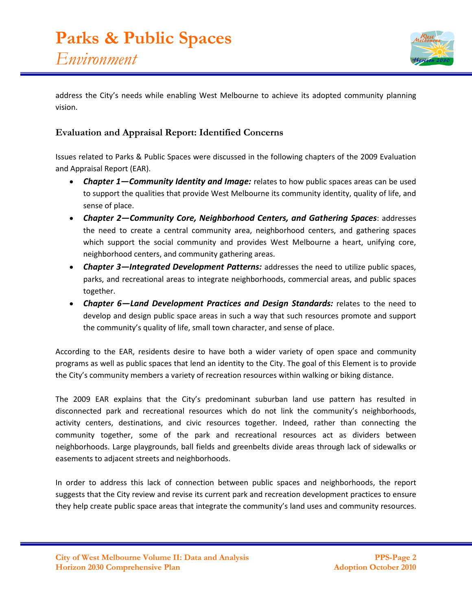

address the City's needs while enabling West Melbourne to achieve its adopted community planning vision.

## **Evaluation and Appraisal Report: Identified Concerns**

Issues related to Parks & Public Spaces were discussed in the following chapters of the 2009 Evaluation and Appraisal Report (EAR).

- *Chapter 1—Community Identity and Image:* relates to how public spaces areas can be used to support the qualities that provide West Melbourne its community identity, quality of life, and sense of place.
- *Chapter 2—Community Core, Neighborhood Centers, and Gathering Spaces*: addresses the need to create a central community area, neighborhood centers, and gathering spaces which support the social community and provides West Melbourne a heart, unifying core, neighborhood centers, and community gathering areas.
- *Chapter 3—Integrated Development Patterns:* addresses the need to utilize public spaces, parks, and recreational areas to integrate neighborhoods, commercial areas, and public spaces together.
- *Chapter 6—Land Development Practices and Design Standards:* relates to the need to develop and design public space areas in such a way that such resources promote and support the community's quality of life, small town character, and sense of place.

According to the EAR, residents desire to have both a wider variety of open space and community programs as well as public spaces that lend an identity to the City. The goal of this Element is to provide the City's community members a variety of recreation resources within walking or biking distance.

The 2009 EAR explains that the City's predominant suburban land use pattern has resulted in disconnected park and recreational resources which do not link the community's neighborhoods, activity centers, destinations, and civic resources together. Indeed, rather than connecting the community together, some of the park and recreational resources act as dividers between neighborhoods. Large playgrounds, ball fields and greenbelts divide areas through lack of sidewalks or easements to adjacent streets and neighborhoods.

In order to address this lack of connection between public spaces and neighborhoods, the report suggests that the City review and revise its current park and recreation development practices to ensure they help create public space areas that integrate the community's land uses and community resources.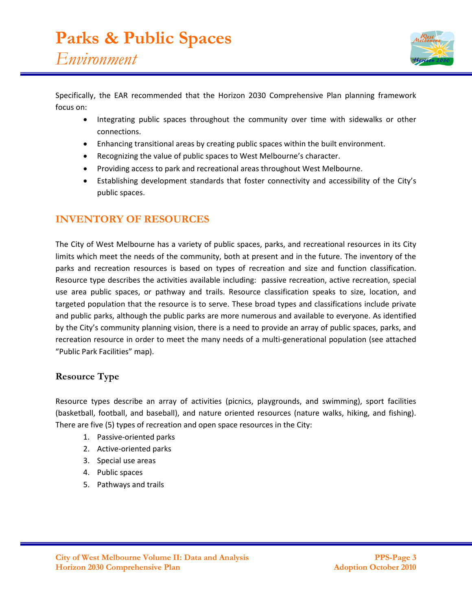

Specifically, the EAR recommended that the Horizon 2030 Comprehensive Plan planning framework focus on:

- Integrating public spaces throughout the community over time with sidewalks or other connections.
- Enhancing transitional areas by creating public spaces within the built environment.
- Recognizing the value of public spaces to West Melbourne's character.
- Providing access to park and recreational areas throughout West Melbourne.
- Establishing development standards that foster connectivity and accessibility of the City's public spaces.

## **INVENTORY OF RESOURCES**

The City of West Melbourne has a variety of public spaces, parks, and recreational resources in its City limits which meet the needs of the community, both at present and in the future. The inventory of the parks and recreation resources is based on types of recreation and size and function classification. Resource type describes the activities available including: passive recreation, active recreation, special use area public spaces, or pathway and trails. Resource classification speaks to size, location, and targeted population that the resource is to serve. These broad types and classifications include private and public parks, although the public parks are more numerous and available to everyone. As identified by the City's community planning vision, there is a need to provide an array of public spaces, parks, and recreation resource in order to meet the many needs of a multi-generational population (see attached "Public Park Facilities" map).

## **Resource Type**

Resource types describe an array of activities (picnics, playgrounds, and swimming), sport facilities (basketball, football, and baseball), and nature oriented resources (nature walks, hiking, and fishing). There are five (5) types of recreation and open space resources in the City:

- 1. Passive-oriented parks
- 2. Active-oriented parks
- 3. Special use areas
- 4. Public spaces
- 5. Pathways and trails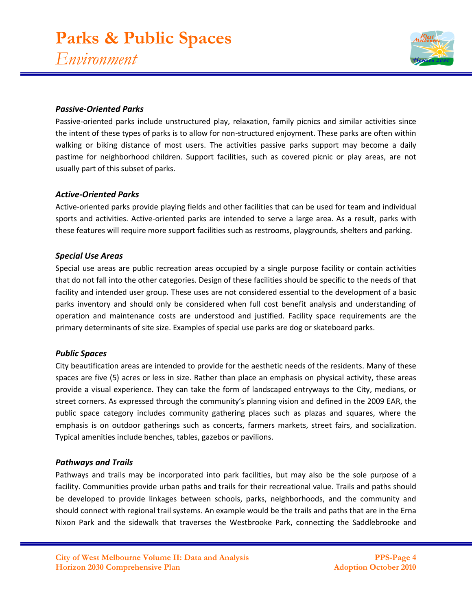

#### *Passive-Oriented Parks*

Passive-oriented parks include unstructured play, relaxation, family picnics and similar activities since the intent of these types of parks is to allow for non-structured enjoyment. These parks are often within walking or biking distance of most users. The activities passive parks support may become a daily pastime for neighborhood children. Support facilities, such as covered picnic or play areas, are not usually part of this subset of parks.

#### *Active-Oriented Parks*

Active-oriented parks provide playing fields and other facilities that can be used for team and individual sports and activities. Active-oriented parks are intended to serve a large area. As a result, parks with these features will require more support facilities such as restrooms, playgrounds, shelters and parking.

#### *Special Use Areas*

Special use areas are public recreation areas occupied by a single purpose facility or contain activities that do not fall into the other categories. Design of these facilities should be specific to the needs of that facility and intended user group. These uses are not considered essential to the development of a basic parks inventory and should only be considered when full cost benefit analysis and understanding of operation and maintenance costs are understood and justified. Facility space requirements are the primary determinants of site size. Examples of special use parks are dog or skateboard parks.

### *Public Spaces*

City beautification areas are intended to provide for the aesthetic needs of the residents. Many of these spaces are five (5) acres or less in size. Rather than place an emphasis on physical activity, these areas provide a visual experience. They can take the form of landscaped entryways to the City, medians, or street corners. As expressed through the community's planning vision and defined in the 2009 EAR, the public space category includes community gathering places such as plazas and squares, where the emphasis is on outdoor gatherings such as concerts, farmers markets, street fairs, and socialization. Typical amenities include benches, tables, gazebos or pavilions.

#### *Pathways and Trails*

Pathways and trails may be incorporated into park facilities, but may also be the sole purpose of a facility. Communities provide urban paths and trails for their recreational value. Trails and paths should be developed to provide linkages between schools, parks, neighborhoods, and the community and should connect with regional trail systems. An example would be the trails and paths that are in the Erna Nixon Park and the sidewalk that traverses the Westbrooke Park, connecting the Saddlebrooke and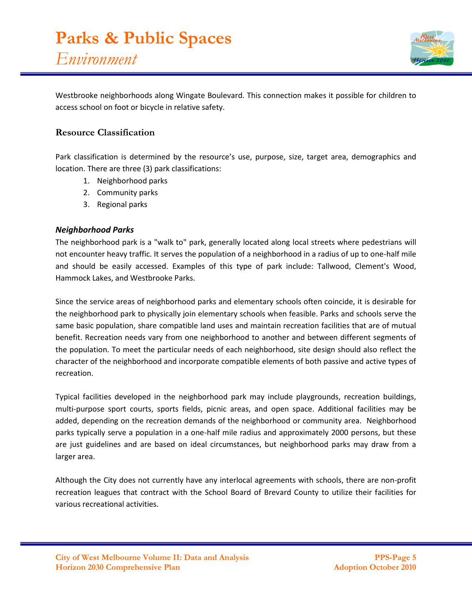

Westbrooke neighborhoods along Wingate Boulevard. This connection makes it possible for children to access school on foot or bicycle in relative safety.

## **Resource Classification**

Park classification is determined by the resource's use, purpose, size, target area, demographics and location. There are three (3) park classifications:

- 1. Neighborhood parks
- 2. Community parks
- 3. Regional parks

### *Neighborhood Parks*

The neighborhood park is a "walk to" park, generally located along local streets where pedestrians will not encounter heavy traffic. It serves the population of a neighborhood in a radius of up to one-half mile and should be easily accessed. Examples of this type of park include: Tallwood, Clement's Wood, Hammock Lakes, and Westbrooke Parks.

Since the service areas of neighborhood parks and elementary schools often coincide, it is desirable for the neighborhood park to physically join elementary schools when feasible. Parks and schools serve the same basic population, share compatible land uses and maintain recreation facilities that are of mutual benefit. Recreation needs vary from one neighborhood to another and between different segments of the population. To meet the particular needs of each neighborhood, site design should also reflect the character of the neighborhood and incorporate compatible elements of both passive and active types of recreation.

Typical facilities developed in the neighborhood park may include playgrounds, recreation buildings, multi-purpose sport courts, sports fields, picnic areas, and open space. Additional facilities may be added, depending on the recreation demands of the neighborhood or community area. Neighborhood parks typically serve a population in a one-half mile radius and approximately 2000 persons, but these are just guidelines and are based on ideal circumstances, but neighborhood parks may draw from a larger area.

Although the City does not currently have any interlocal agreements with schools, there are non-profit recreation leagues that contract with the School Board of Brevard County to utilize their facilities for various recreational activities.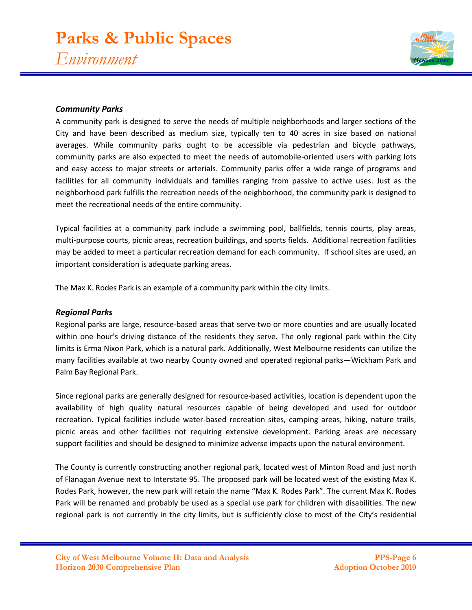# **Parks & Public Spaces** *Environment*



## *Community Parks*

A community park is designed to serve the needs of multiple neighborhoods and larger sections of the City and have been described as medium size, typically ten to 40 acres in size based on national averages. While community parks ought to be accessible via pedestrian and bicycle pathways, community parks are also expected to meet the needs of automobile-oriented users with parking lots and easy access to major streets or arterials. Community parks offer a wide range of programs and facilities for all community individuals and families ranging from passive to active uses. Just as the neighborhood park fulfills the recreation needs of the neighborhood, the community park is designed to meet the recreational needs of the entire community.

Typical facilities at a community park include a swimming pool, ballfields, tennis courts, play areas, multi-purpose courts, picnic areas, recreation buildings, and sports fields. Additional recreation facilities may be added to meet a particular recreation demand for each community. If school sites are used, an important consideration is adequate parking areas.

The Max K. Rodes Park is an example of a community park within the city limits.

### *Regional Parks*

Regional parks are large, resource-based areas that serve two or more counties and are usually located within one hour's driving distance of the residents they serve. The only regional park within the City limits is Erma Nixon Park, which is a natural park. Additionally, West Melbourne residents can utilize the many facilities available at two nearby County owned and operated regional parks—Wickham Park and Palm Bay Regional Park.

Since regional parks are generally designed for resource-based activities, location is dependent upon the availability of high quality natural resources capable of being developed and used for outdoor recreation. Typical facilities include water-based recreation sites, camping areas, hiking, nature trails, picnic areas and other facilities not requiring extensive development. Parking areas are necessary support facilities and should be designed to minimize adverse impacts upon the natural environment.

The County is currently constructing another regional park, located west of Minton Road and just north of Flanagan Avenue next to Interstate 95. The proposed park will be located west of the existing Max K. Rodes Park, however, the new park will retain the name "Max K. Rodes Park". The current Max K. Rodes Park will be renamed and probably be used as a special use park for children with disabilities. The new regional park is not currently in the city limits, but is sufficiently close to most of the City's residential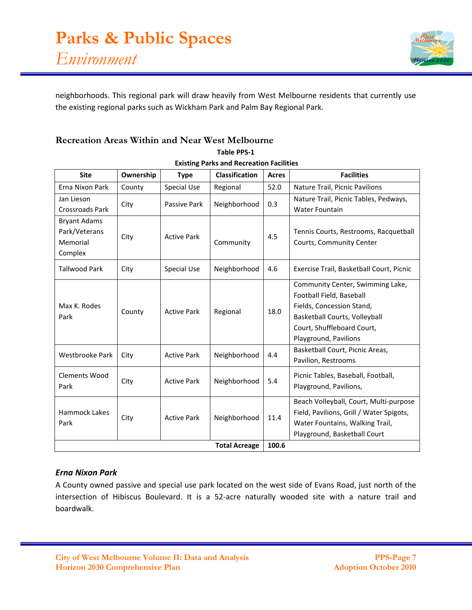

neighborhoods. This regional park will draw heavily from West Melbourne residents that currently use the existing regional parks such as Wickham Park and Palm Bay Regional Park.

## **Recreation Areas Within and Near West Melbourne**

| <b>Site</b>            | Ownership | <b>Type</b>        | <b>Classification</b> | <b>Acres</b> | <b>Facilities</b>                        |
|------------------------|-----------|--------------------|-----------------------|--------------|------------------------------------------|
| Erna Nixon Park        | County    | Special Use        | Regional              | 52.0         | Nature Trail, Picnic Pavilions           |
| Jan Lieson             | City      | Passive Park       | Neighborhood          | 0.3          | Nature Trail, Picnic Tables, Pedways,    |
| <b>Crossroads Park</b> |           |                    |                       |              | Water Fountain                           |
| <b>Bryant Adams</b>    |           |                    |                       |              |                                          |
| Park/Veterans          | City      | <b>Active Park</b> |                       | 4.5          | Tennis Courts, Restrooms, Racquetball    |
| Memorial               |           |                    | Community             |              | Courts, Community Center                 |
| Complex                |           |                    |                       |              |                                          |
| <b>Tallwood Park</b>   | City      | <b>Special Use</b> | Neighborhood          | 4.6          | Exercise Trail, Basketball Court, Picnic |
| Max K. Rodes<br>Park   | County    | <b>Active Park</b> | Regional              | 18.0         | Community Center, Swimming Lake,         |
|                        |           |                    |                       |              | Football Field, Baseball                 |
|                        |           |                    |                       |              | Fields, Concession Stand,                |
|                        |           |                    |                       |              | Basketball Courts, Volleyball            |
|                        |           |                    |                       |              | Court, Shuffleboard Court,               |
|                        |           |                    |                       |              | Playground, Pavilions                    |
| Westbrooke Park        | City      | <b>Active Park</b> | Neighborhood          | 4.4          | Basketball Court, Picnic Areas,          |
|                        |           |                    |                       |              | Pavilion, Restrooms                      |
| <b>Clements Wood</b>   |           |                    |                       |              | Picnic Tables, Baseball, Football,       |
| Park                   | City      | <b>Active Park</b> | Neighborhood          | 5.4          | Playground, Pavilions,                   |
| Hammock Lakes<br>Park  | City      | <b>Active Park</b> | Neighborhood          | 11.4         | Beach Volleyball, Court, Multi-purpose   |
|                        |           |                    |                       |              | Field, Pavilions, Grill / Water Spigots, |
|                        |           |                    |                       |              | Water Fountains, Walking Trail,          |
|                        |           |                    |                       |              | Playground, Basketball Court             |
| <b>Total Acreage</b>   |           |                    |                       |              |                                          |

## **Table PPS-1 Existing Parks and Recreation Facilities**

## *Erna Nixon Park*

A County owned passive and special use park located on the west side of Evans Road, just north of the intersection of Hibiscus Boulevard. It is a 52-acre naturally wooded site with a nature trail and boardwalk.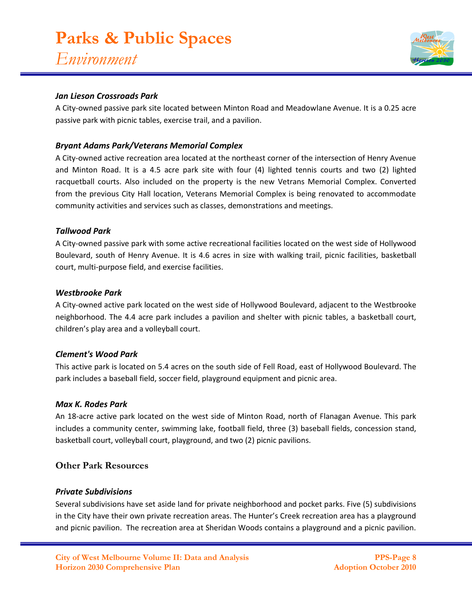## *Jan Lieson Crossroads Park*

A City-owned passive park site located between Minton Road and Meadowlane Avenue. It is a 0.25 acre passive park with picnic tables, exercise trail, and a pavilion.

## *Bryant Adams Park/Veterans Memorial Complex*

A City-owned active recreation area located at the northeast corner of the intersection of Henry Avenue and Minton Road. It is a 4.5 acre park site with four (4) lighted tennis courts and two (2) lighted racquetball courts. Also included on the property is the new Vetrans Memorial Complex. Converted from the previous City Hall location, Veterans Memorial Complex is being renovated to accommodate community activities and services such as classes, demonstrations and meetings.

## *Tallwood Park*

A City-owned passive park with some active recreational facilities located on the west side of Hollywood Boulevard, south of Henry Avenue. It is 4.6 acres in size with walking trail, picnic facilities, basketball court, multi-purpose field, and exercise facilities.

### *Westbrooke Park*

A City-owned active park located on the west side of Hollywood Boulevard, adjacent to the Westbrooke neighborhood. The 4.4 acre park includes a pavilion and shelter with picnic tables, a basketball court, children's play area and a volleyball court.

### *Clement's Wood Park*

This active park is located on 5.4 acres on the south side of Fell Road, east of Hollywood Boulevard. The park includes a baseball field, soccer field, playground equipment and picnic area.

### *Max K. Rodes Park*

An 18-acre active park located on the west side of Minton Road, north of Flanagan Avenue. This park includes a community center, swimming lake, football field, three (3) baseball fields, concession stand, basketball court, volleyball court, playground, and two (2) picnic pavilions.

## **Other Park Resources**

### *Private Subdivisions*

Several subdivisions have set aside land for private neighborhood and pocket parks. Five (5) subdivisions in the City have their own private recreation areas. The Hunter's Creek recreation area has a playground and picnic pavilion. The recreation area at Sheridan Woods contains a playground and a picnic pavilion.

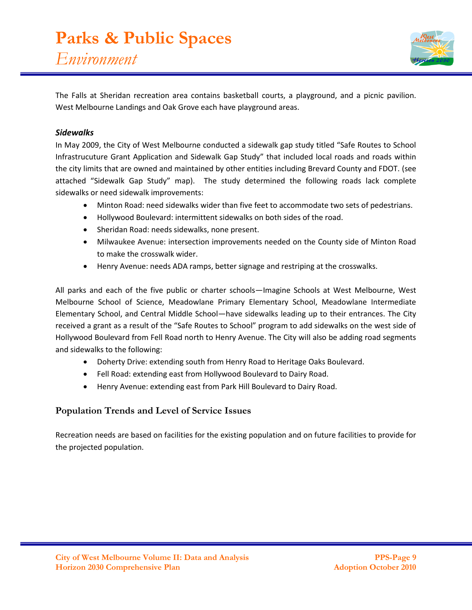

The Falls at Sheridan recreation area contains basketball courts, a playground, and a picnic pavilion. West Melbourne Landings and Oak Grove each have playground areas.

## *Sidewalks*

In May 2009, the City of West Melbourne conducted a sidewalk gap study titled "Safe Routes to School Infrastrucuture Grant Application and Sidewalk Gap Study" that included local roads and roads within the city limits that are owned and maintained by other entities including Brevard County and FDOT. (see attached "Sidewalk Gap Study" map). The study determined the following roads lack complete sidewalks or need sidewalk improvements:

- Minton Road: need sidewalks wider than five feet to accommodate two sets of pedestrians.
- Hollywood Boulevard: intermittent sidewalks on both sides of the road.
- Sheridan Road: needs sidewalks, none present.
- Milwaukee Avenue: intersection improvements needed on the County side of Minton Road to make the crosswalk wider.
- Henry Avenue: needs ADA ramps, better signage and restriping at the crosswalks.

All parks and each of the five public or charter schools—Imagine Schools at West Melbourne, West Melbourne School of Science, Meadowlane Primary Elementary School, Meadowlane Intermediate Elementary School, and Central Middle School—have sidewalks leading up to their entrances. The City received a grant as a result of the "Safe Routes to School" program to add sidewalks on the west side of Hollywood Boulevard from Fell Road north to Henry Avenue. The City will also be adding road segments and sidewalks to the following:

- Doherty Drive: extending south from Henry Road to Heritage Oaks Boulevard.
- Fell Road: extending east from Hollywood Boulevard to Dairy Road.
- Henry Avenue: extending east from Park Hill Boulevard to Dairy Road.

## **Population Trends and Level of Service Issues**

Recreation needs are based on facilities for the existing population and on future facilities to provide for the projected population.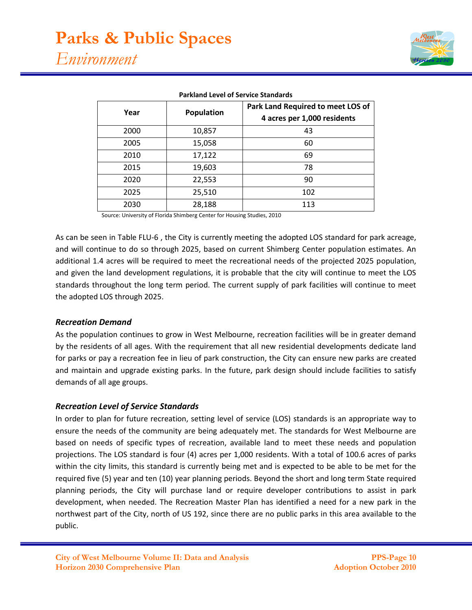| Year | <b>Population</b> | Park Land Required to meet LOS of<br>4 acres per 1,000 residents |
|------|-------------------|------------------------------------------------------------------|
| 2000 | 10,857            | 43                                                               |
| 2005 | 15,058            | 60                                                               |
| 2010 | 17,122            | 69                                                               |
| 2015 | 19,603            | 78                                                               |
| 2020 | 22,553            | 90                                                               |
| 2025 | 25,510            | 102                                                              |
| 2030 | 28,188            | 113                                                              |

#### **Parkland Level of Service Standards**

Source: University of Florida Shimberg Center for Housing Studies, 2010

As can be seen in Table FLU-6 , the City is currently meeting the adopted LOS standard for park acreage, and will continue to do so through 2025, based on current Shimberg Center population estimates. An additional 1.4 acres will be required to meet the recreational needs of the projected 2025 population, and given the land development regulations, it is probable that the city will continue to meet the LOS standards throughout the long term period. The current supply of park facilities will continue to meet the adopted LOS through 2025.

#### *Recreation Demand*

As the population continues to grow in West Melbourne, recreation facilities will be in greater demand by the residents of all ages. With the requirement that all new residential developments dedicate land for parks or pay a recreation fee in lieu of park construction, the City can ensure new parks are created and maintain and upgrade existing parks. In the future, park design should include facilities to satisfy demands of all age groups.

### *Recreation Level of Service Standards*

In order to plan for future recreation, setting level of service (LOS) standards is an appropriate way to ensure the needs of the community are being adequately met. The standards for West Melbourne are based on needs of specific types of recreation, available land to meet these needs and population projections. The LOS standard is four (4) acres per 1,000 residents. With a total of 100.6 acres of parks within the city limits, this standard is currently being met and is expected to be able to be met for the required five (5) year and ten (10) year planning periods. Beyond the short and long term State required planning periods, the City will purchase land or require developer contributions to assist in park development, when needed. The Recreation Master Plan has identified a need for a new park in the northwest part of the City, north of US 192, since there are no public parks in this area available to the public.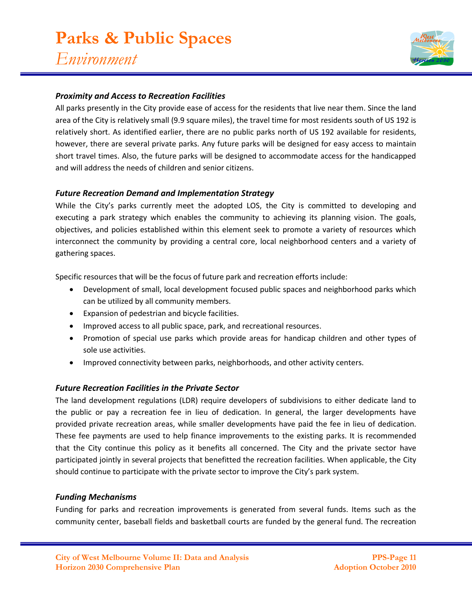

## *Proximity and Access to Recreation Facilities*

All parks presently in the City provide ease of access for the residents that live near them. Since the land area of the City is relatively small (9.9 square miles), the travel time for most residents south of US 192 is relatively short. As identified earlier, there are no public parks north of US 192 available for residents, however, there are several private parks. Any future parks will be designed for easy access to maintain short travel times. Also, the future parks will be designed to accommodate access for the handicapped and will address the needs of children and senior citizens.

#### *Future Recreation Demand and Implementation Strategy*

While the City's parks currently meet the adopted LOS, the City is committed to developing and executing a park strategy which enables the community to achieving its planning vision. The goals, objectives, and policies established within this element seek to promote a variety of resources which interconnect the community by providing a central core, local neighborhood centers and a variety of gathering spaces.

Specific resources that will be the focus of future park and recreation efforts include:

- Development of small, local development focused public spaces and neighborhood parks which can be utilized by all community members.
- Expansion of pedestrian and bicycle facilities.
- Improved access to all public space, park, and recreational resources.
- Promotion of special use parks which provide areas for handicap children and other types of sole use activities.
- Improved connectivity between parks, neighborhoods, and other activity centers.

#### *Future Recreation Facilities in the Private Sector*

The land development regulations (LDR) require developers of subdivisions to either dedicate land to the public or pay a recreation fee in lieu of dedication. In general, the larger developments have provided private recreation areas, while smaller developments have paid the fee in lieu of dedication. These fee payments are used to help finance improvements to the existing parks. It is recommended that the City continue this policy as it benefits all concerned. The City and the private sector have participated jointly in several projects that benefitted the recreation facilities. When applicable, the City should continue to participate with the private sector to improve the City's park system.

#### *Funding Mechanisms*

Funding for parks and recreation improvements is generated from several funds. Items such as the community center, baseball fields and basketball courts are funded by the general fund. The recreation